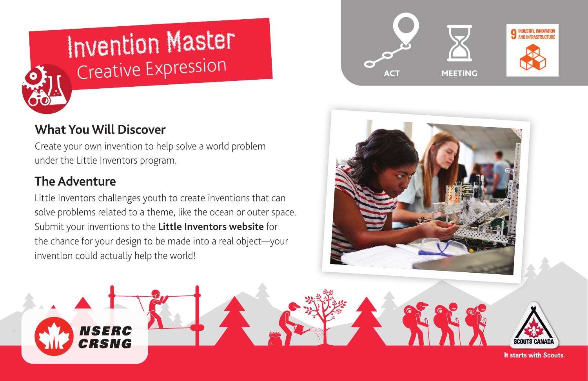

# Invention Master Creative Expression

# **What You Will Discover**

Create your own invention to help solve a world problem under the Little Inventors program.

# **The Adventure**

Little Inventors challenges youth to create inventions that can solve problems related to a theme, like the ocean or outer space. Submit your inventions to the **[Little Inventors website](https://www.littleinventors.org/)** for the chance for your design to be made into a real object—your invention could actually help the world!